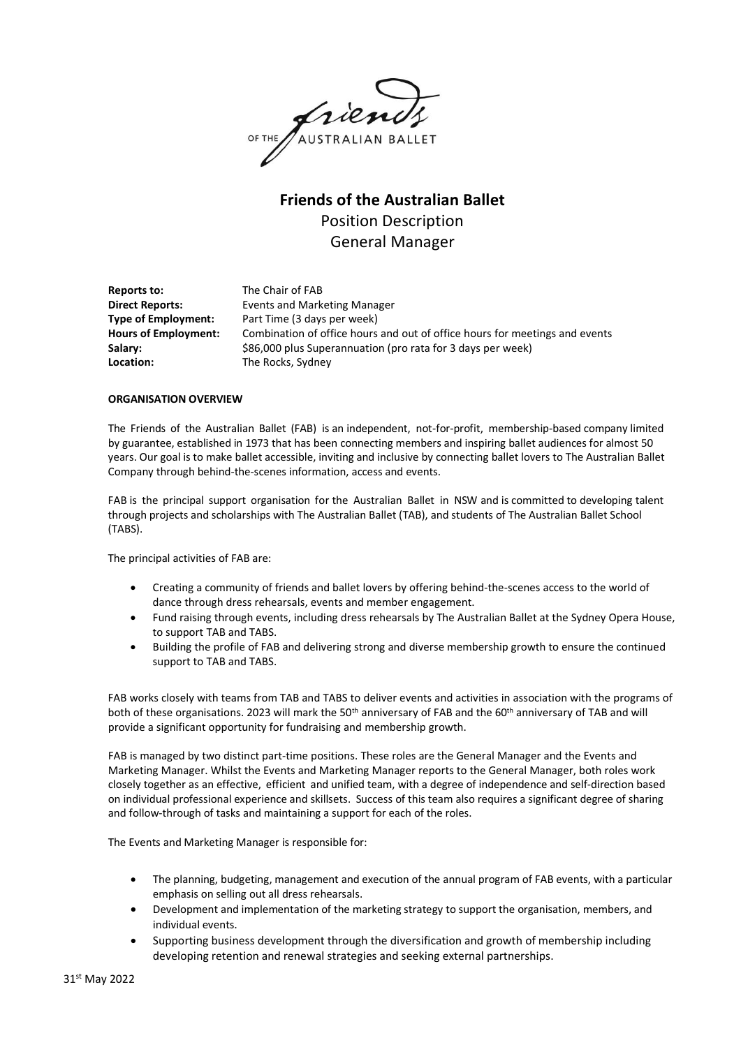OF THE JAUSTRALIAN BALLET

# **Friends of the Australian Ballet** Position Description General Manager

**Reports to:** The Chair of FAB **Direct Reports:** Events and Marketing Manager **Type of Employment:** Part Time (3 days per week) Hours of Employment: Combination of office hours and out of office hours for meetings and events **Salary: Example 386,000 plus Superannuation (pro rata for 3 days per week)** Location: The Rocks, Sydney

#### **ORGANISATION OVERVIEW**

The Friends of the Australian Ballet (FAB) is an independent, not-for-profit, membership-based company limited by guarantee, established in 1973 that has been connecting members and inspiring ballet audiences for almost 50 years. Our goal is to make ballet accessible, inviting and inclusive by connecting ballet lovers to The Australian Ballet Company through behind-the-scenes information, access and events.

FAB is the principal support organisation for the Australian Ballet in NSW and is committed to developing talent through projects and scholarships with The Australian Ballet (TAB), and students of The Australian Ballet School (TABS).

The principal activities of FAB are:

- Creating a community of friends and ballet lovers by offering behind-the-scenes access to the world of dance through dress rehearsals, events and member engagement.
- Fund raising through events, including dress rehearsals by The Australian Ballet at the Sydney Opera House, to support TAB and TABS.
- Building the profile of FAB and delivering strong and diverse membership growth to ensure the continued support to TAB and TABS.

FAB works closely with teams from TAB and TABS to deliver events and activities in association with the programs of both of these organisations. 2023 will mark the 50<sup>th</sup> anniversary of FAB and the 60<sup>th</sup> anniversary of TAB and will provide a significant opportunity for fundraising and membership growth.

FAB is managed by two distinct part-time positions. These roles are the General Manager and the Events and Marketing Manager. Whilst the Events and Marketing Manager reports to the General Manager, both roles work closely together as an effective, efficient and unified team, with a degree of independence and self-direction based on individual professional experience and skillsets. Success of this team also requires a significant degree of sharing and follow-through of tasks and maintaining a support for each of the roles.

The Events and Marketing Manager is responsible for:

- The planning, budgeting, management and execution of the annual program of FAB events, with a particular emphasis on selling out all dress rehearsals.
- Development and implementation of the marketing strategy to support the organisation, members, and individual events.
- Supporting business development through the diversification and growth of membership including developing retention and renewal strategies and seeking external partnerships.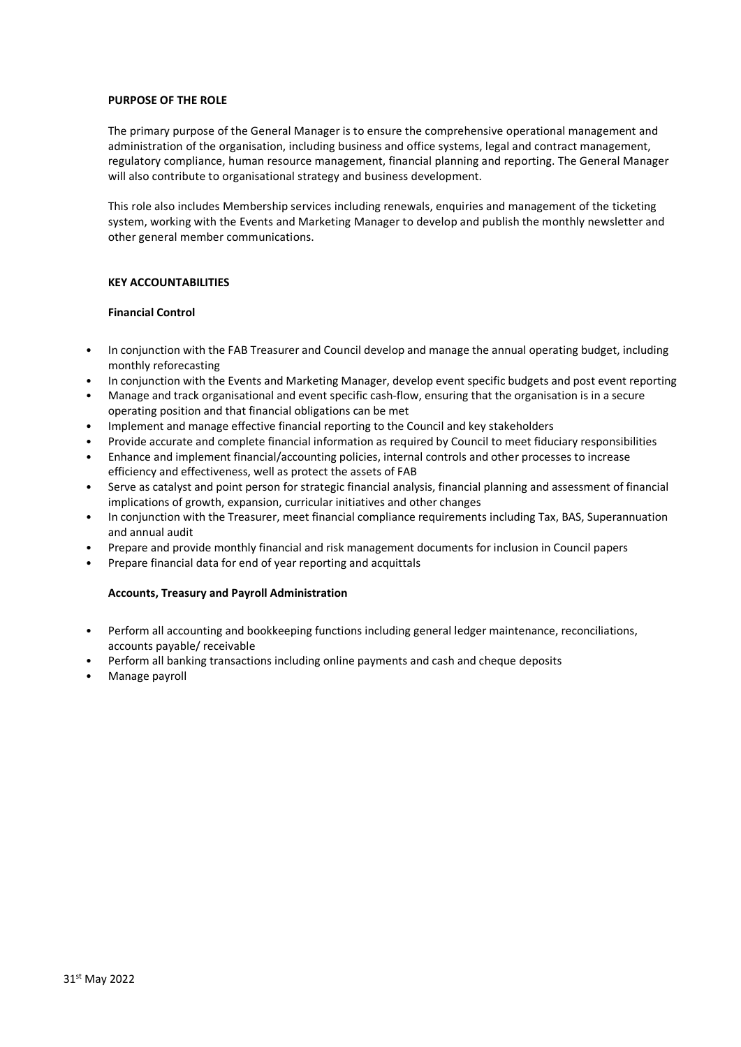#### **PURPOSE OF THE ROLE**

The primary purpose of the General Manager is to ensure the comprehensive operational management and administration of the organisation, including business and office systems, legal and contract management, regulatory compliance, human resource management, financial planning and reporting. The General Manager will also contribute to organisational strategy and business development.

This role also includes Membership services including renewals, enquiries and management of the ticketing system, working with the Events and Marketing Manager to develop and publish the monthly newsletter and other general member communications.

#### **KEY ACCOUNTABILITIES**

## **Financial Control**

- In conjunction with the FAB Treasurer and Council develop and manage the annual operating budget, including monthly reforecasting
- In conjunction with the Events and Marketing Manager, develop event specific budgets and post event reporting
- Manage and track organisational and event specific cash-flow, ensuring that the organisation is in a secure operating position and that financial obligations can be met
- Implement and manage effective financial reporting to the Council and key stakeholders
- Provide accurate and complete financial information as required by Council to meet fiduciary responsibilities
- Enhance and implement financial/accounting policies, internal controls and other processes to increase efficiency and effectiveness, well as protect the assets of FAB
- Serve as catalyst and point person for strategic financial analysis, financial planning and assessment of financial implications of growth, expansion, curricular initiatives and other changes
- In conjunction with the Treasurer, meet financial compliance requirements including Tax, BAS, Superannuation and annual audit
- Prepare and provide monthly financial and risk management documents for inclusion in Council papers
- Prepare financial data for end of year reporting and acquittals

## **Accounts, Treasury and Payroll Administration**

- Perform all accounting and bookkeeping functions including general ledger maintenance, reconciliations, accounts payable/ receivable
- Perform all banking transactions including online payments and cash and cheque deposits
- Manage payroll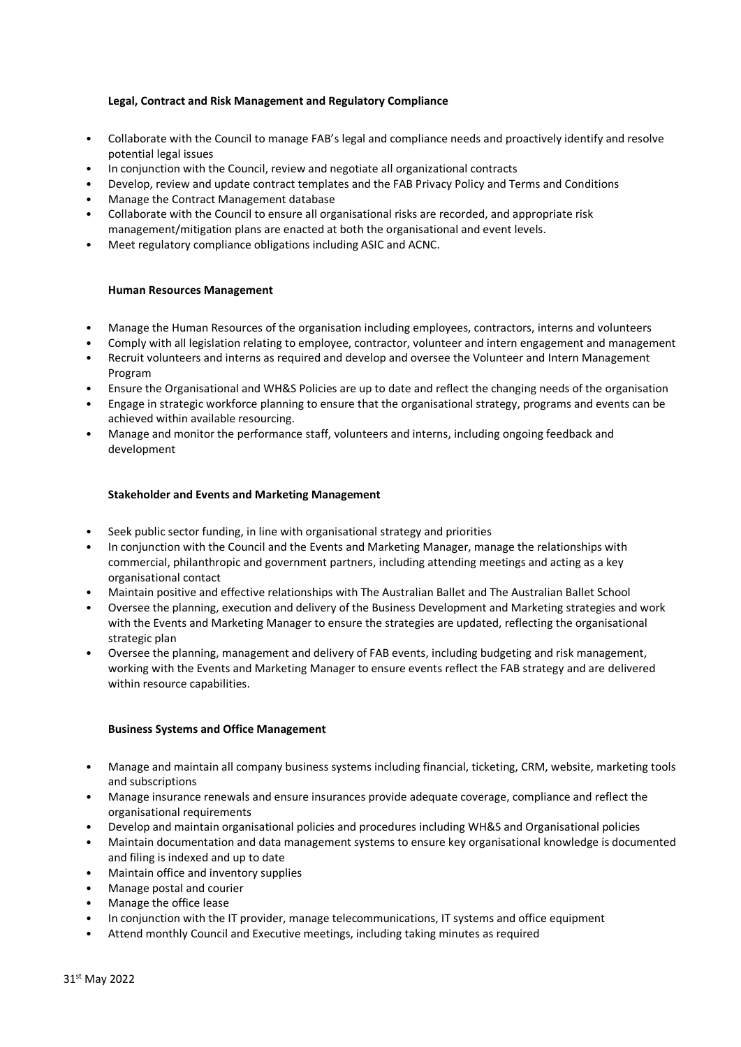## **Legal, Contract and Risk Management and Regulatory Compliance**

- Collaborate with the Council to manage FAB's legal and compliance needs and proactively identify and resolve potential legal issues
- In conjunction with the Council, review and negotiate all organizational contracts
- Develop, review and update contract templates and the FAB Privacy Policy and Terms and Conditions
- Manage the Contract Management database
- Collaborate with the Council to ensure all organisational risks are recorded, and appropriate risk management/mitigation plans are enacted at both the organisational and event levels.
- Meet regulatory compliance obligations including ASIC and ACNC.

## **Human Resources Management**

- Manage the Human Resources of the organisation including employees, contractors, interns and volunteers
- Comply with all legislation relating to employee, contractor, volunteer and intern engagement and management
- Recruit volunteers and interns as required and develop and oversee the Volunteer and Intern Management Program
- Ensure the Organisational and WH&S Policies are up to date and reflect the changing needs of the organisation
- Engage in strategic workforce planning to ensure that the organisational strategy, programs and events can be achieved within available resourcing.
- Manage and monitor the performance staff, volunteers and interns, including ongoing feedback and development

## **Stakeholder and Events and Marketing Management**

- Seek public sector funding, in line with organisational strategy and priorities
- In conjunction with the Council and the Events and Marketing Manager, manage the relationships with commercial, philanthropic and government partners, including attending meetings and acting as a key organisational contact
- Maintain positive and effective relationships with The Australian Ballet and The Australian Ballet School
- Oversee the planning, execution and delivery of the Business Development and Marketing strategies and work with the Events and Marketing Manager to ensure the strategies are updated, reflecting the organisational strategic plan
- Oversee the planning, management and delivery of FAB events, including budgeting and risk management, working with the Events and Marketing Manager to ensure events reflect the FAB strategy and are delivered within resource capabilities.

## **Business Systems and Office Management**

- Manage and maintain all company business systems including financial, ticketing, CRM, website, marketing tools and subscriptions
- Manage insurance renewals and ensure insurances provide adequate coverage, compliance and reflect the organisational requirements
- Develop and maintain organisational policies and procedures including WH&S and Organisational policies
- Maintain documentation and data management systems to ensure key organisational knowledge is documented and filing is indexed and up to date
- Maintain office and inventory supplies
- Manage postal and courier
- Manage the office lease
- In conjunction with the IT provider, manage telecommunications, IT systems and office equipment
- Attend monthly Council and Executive meetings, including taking minutes as required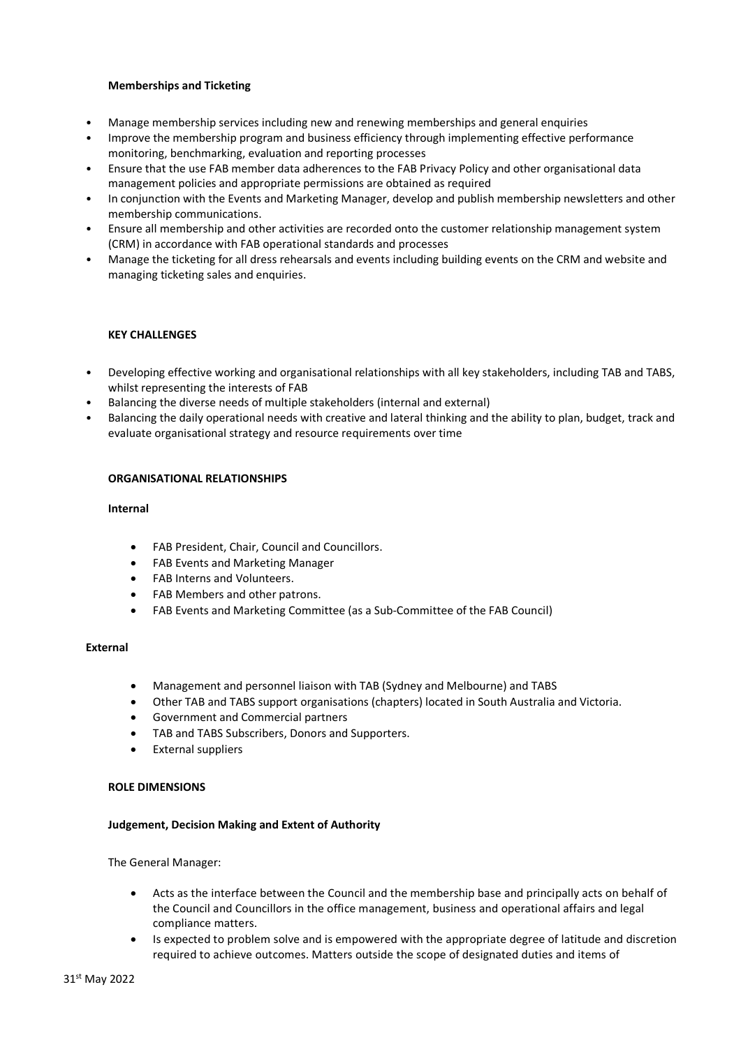## **Memberships and Ticketing**

- Manage membership services including new and renewing memberships and general enquiries
- Improve the membership program and business efficiency through implementing effective performance monitoring, benchmarking, evaluation and reporting processes
- Ensure that the use FAB member data adherences to the FAB Privacy Policy and other organisational data management policies and appropriate permissions are obtained as required
- In conjunction with the Events and Marketing Manager, develop and publish membership newsletters and other membership communications.
- Ensure all membership and other activities are recorded onto the customer relationship management system (CRM) in accordance with FAB operational standards and processes
- Manage the ticketing for all dress rehearsals and events including building events on the CRM and website and managing ticketing sales and enquiries.

## **KEY CHALLENGES**

- Developing effective working and organisational relationships with all key stakeholders, including TAB and TABS, whilst representing the interests of FAB
- Balancing the diverse needs of multiple stakeholders (internal and external)
- Balancing the daily operational needs with creative and lateral thinking and the ability to plan, budget, track and evaluate organisational strategy and resource requirements over time

## **ORGANISATIONAL RELATIONSHIPS**

## **Internal**

- FAB President, Chair, Council and Councillors.
- FAB Events and Marketing Manager
- FAB Interns and Volunteers.
- FAB Members and other patrons.
- FAB Events and Marketing Committee (as a Sub-Committee of the FAB Council)

## **External**

- Management and personnel liaison with TAB (Sydney and Melbourne) and TABS
- Other TAB and TABS support organisations (chapters) located in South Australia and Victoria.
- Government and Commercial partners
- TAB and TABS Subscribers, Donors and Supporters.
- External suppliers

## **ROLE DIMENSIONS**

## **Judgement, Decision Making and Extent of Authority**

The General Manager:

- Acts as the interface between the Council and the membership base and principally acts on behalf of the Council and Councillors in the office management, business and operational affairs and legal compliance matters.
- Is expected to problem solve and is empowered with the appropriate degree of latitude and discretion required to achieve outcomes. Matters outside the scope of designated duties and items of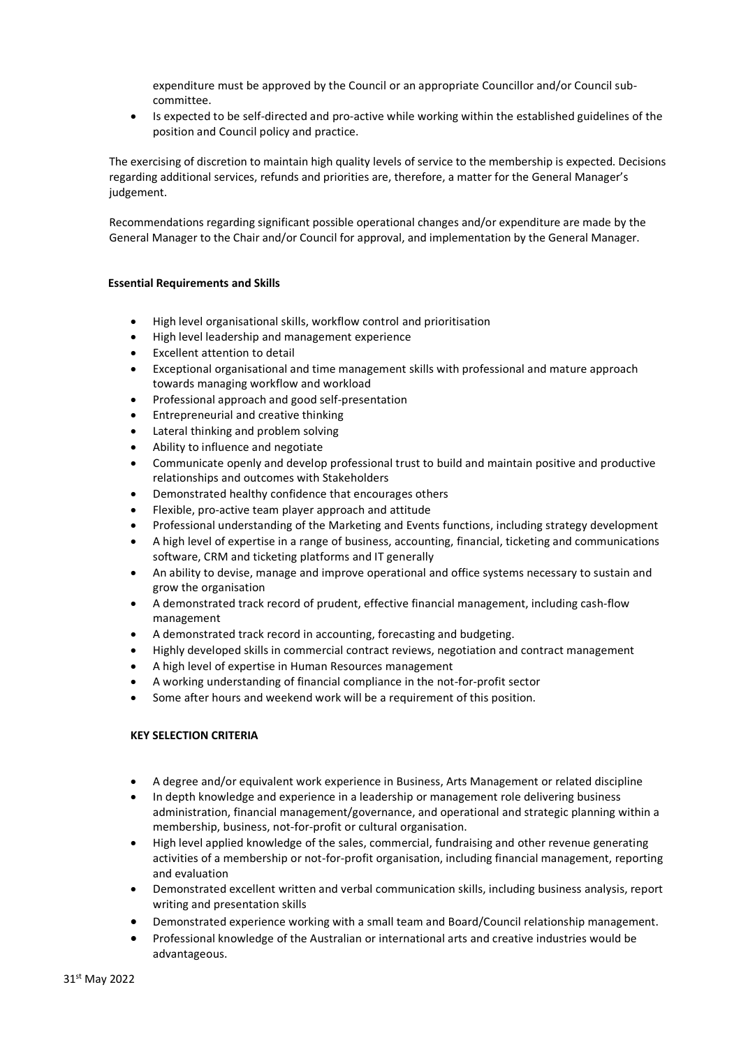expenditure must be approved by the Council or an appropriate Councillor and/or Council subcommittee.

• Is expected to be self-directed and pro-active while working within the established guidelines of the position and Council policy and practice.

The exercising of discretion to maintain high quality levels of service to the membership is expected. Decisions regarding additional services, refunds and priorities are, therefore, a matter for the General Manager's judgement.

Recommendations regarding significant possible operational changes and/or expenditure are made by the General Manager to the Chair and/or Council for approval, and implementation by the General Manager.

## **Essential Requirements and Skills**

- High level organisational skills, workflow control and prioritisation
- High level leadership and management experience
- Excellent attention to detail
- Exceptional organisational and time management skills with professional and mature approach towards managing workflow and workload
- Professional approach and good self-presentation
- Entrepreneurial and creative thinking
- Lateral thinking and problem solving
- Ability to influence and negotiate
- Communicate openly and develop professional trust to build and maintain positive and productive relationships and outcomes with Stakeholders
- Demonstrated healthy confidence that encourages others
- Flexible, pro-active team player approach and attitude
- Professional understanding of the Marketing and Events functions, including strategy development
- A high level of expertise in a range of business, accounting, financial, ticketing and communications software, CRM and ticketing platforms and IT generally
- An ability to devise, manage and improve operational and office systems necessary to sustain and grow the organisation
- A demonstrated track record of prudent, effective financial management, including cash-flow management
- A demonstrated track record in accounting, forecasting and budgeting.
- Highly developed skills in commercial contract reviews, negotiation and contract management
- A high level of expertise in Human Resources management
- A working understanding of financial compliance in the not-for-profit sector
- Some after hours and weekend work will be a requirement of this position.

## **KEY SELECTION CRITERIA**

- A degree and/or equivalent work experience in Business, Arts Management or related discipline
- In depth knowledge and experience in a leadership or management role delivering business administration, financial management/governance, and operational and strategic planning within a membership, business, not-for-profit or cultural organisation.
- High level applied knowledge of the sales, commercial, fundraising and other revenue generating activities of a membership or not-for-profit organisation, including financial management, reporting and evaluation
- Demonstrated excellent written and verbal communication skills, including business analysis, report writing and presentation skills
- Demonstrated experience working with a small team and Board/Council relationship management.
- Professional knowledge of the Australian or international arts and creative industries would be advantageous.